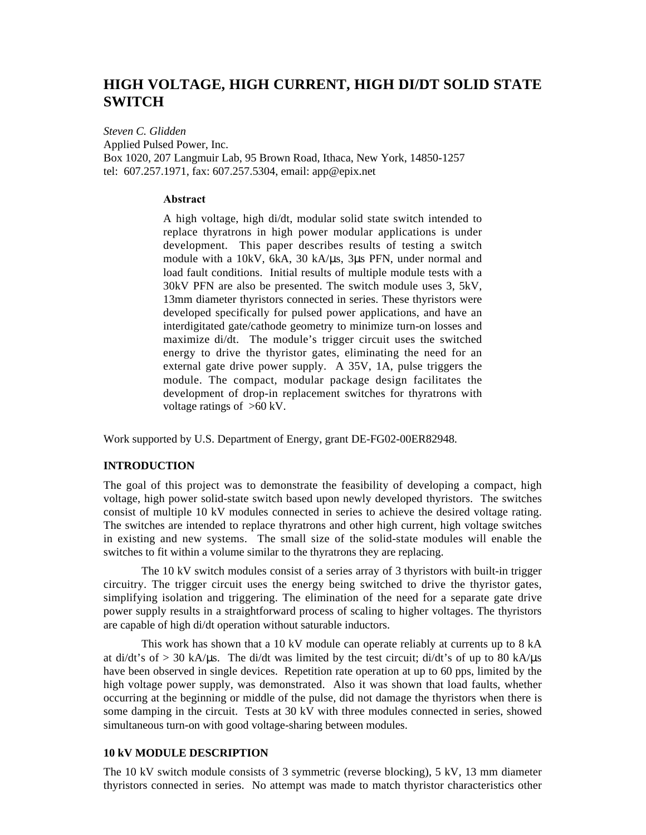# **HIGH VOLTAGE, HIGH CURRENT, HIGH DI/DT SOLID STATE SWITCH**

*Steven C. Glidden* Applied Pulsed Power, Inc. Box 1020, 207 Langmuir Lab, 95 Brown Road, Ithaca, New York, 14850-1257 tel: 607.257.1971, fax: 607.257.5304, email: app@epix.net

# **Abstract**

A high voltage, high di/dt, modular solid state switch intended to replace thyratrons in high power modular applications is under development. This paper describes results of testing a switch module with a 10kV, 6kA, 30 kA/µs, 3µs PFN, under normal and load fault conditions. Initial results of multiple module tests with a 30kV PFN are also be presented. The switch module uses 3, 5kV, 13mm diameter thyristors connected in series. These thyristors were developed specifically for pulsed power applications, and have an interdigitated gate/cathode geometry to minimize turn-on losses and maximize di/dt. The module's trigger circuit uses the switched energy to drive the thyristor gates, eliminating the need for an external gate drive power supply. A 35V, 1A, pulse triggers the module. The compact, modular package design facilitates the development of drop-in replacement switches for thyratrons with voltage ratings of  $>60$  kV.

Work supported by U.S. Department of Energy, grant DE-FG02-00ER82948.

# **INTRODUCTION**

The goal of this project was to demonstrate the feasibility of developing a compact, high voltage, high power solid-state switch based upon newly developed thyristors. The switches consist of multiple 10 kV modules connected in series to achieve the desired voltage rating. The switches are intended to replace thyratrons and other high current, high voltage switches in existing and new systems. The small size of the solid-state modules will enable the switches to fit within a volume similar to the thyratrons they are replacing.

The 10 kV switch modules consist of a series array of 3 thyristors with built-in trigger circuitry. The trigger circuit uses the energy being switched to drive the thyristor gates, simplifying isolation and triggering. The elimination of the need for a separate gate drive power supply results in a straightforward process of scaling to higher voltages. The thyristors are capable of high di/dt operation without saturable inductors.

This work has shown that a 10 kV module can operate reliably at currents up to 8 kA at di/dt's of  $>$  30 kA/ $\mu$ s. The di/dt was limited by the test circuit; di/dt's of up to 80 kA/ $\mu$ s have been observed in single devices. Repetition rate operation at up to 60 pps, limited by the high voltage power supply, was demonstrated. Also it was shown that load faults, whether occurring at the beginning or middle of the pulse, did not damage the thyristors when there is some damping in the circuit. Tests at 30 kV with three modules connected in series, showed simultaneous turn-on with good voltage-sharing between modules.

# **10 kV MODULE DESCRIPTION**

The 10 kV switch module consists of 3 symmetric (reverse blocking), 5 kV, 13 mm diameter thyristors connected in series. No attempt was made to match thyristor characteristics other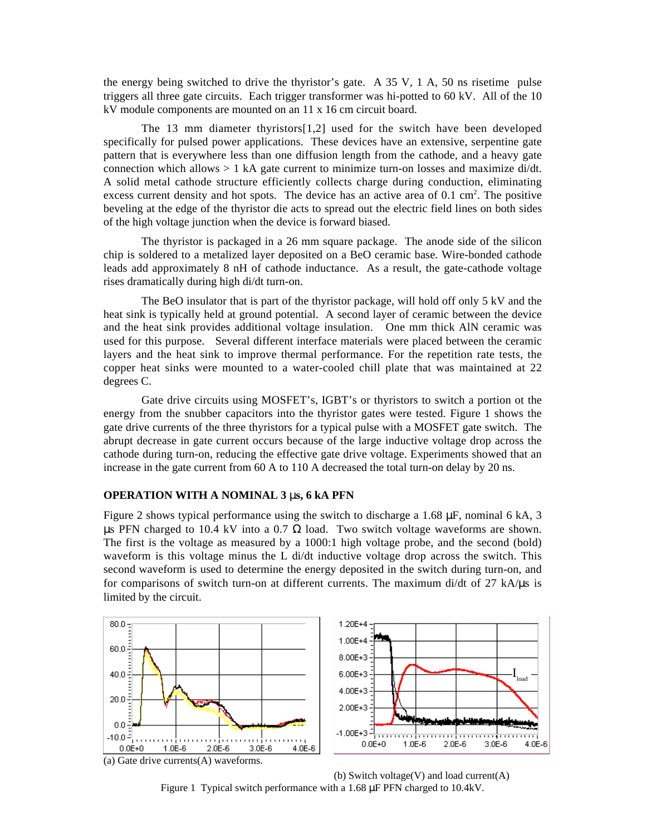the energy being switched to drive the thyristor's gate. A 35 V, 1 A, 50 ns risetime pulse triggers all three gate circuits. Each trigger transformer was hi-potted to 60 kV. All of the 10 kV module components are mounted on an 11 x 16 cm circuit board.

The 13 mm diameter thyristors[1,2] used for the switch have been developed specifically for pulsed power applications. These devices have an extensive, serpentine gate pattern that is everywhere less than one diffusion length from the cathode, and a heavy gate connection which allows > 1 kA gate current to minimize turn-on losses and maximize di/dt. A solid metal cathode structure efficiently collects charge during conduction, eliminating excess current density and hot spots. The device has an active area of  $0.1 \text{ cm}^2$ . The positive beveling at the edge of the thyristor die acts to spread out the electric field lines on both sides of the high voltage junction when the device is forward biased.

The thyristor is packaged in a 26 mm square package. The anode side of the silicon chip is soldered to a metalized layer deposited on a BeO ceramic base. Wire-bonded cathode leads add approximately 8 nH of cathode inductance. As a result, the gate-cathode voltage rises dramatically during high di/dt turn-on.

The BeO insulator that is part of the thyristor package, will hold off only 5 kV and the heat sink is typically held at ground potential. A second layer of ceramic between the device and the heat sink provides additional voltage insulation. One mm thick AlN ceramic was used for this purpose. Several different interface materials were placed between the ceramic layers and the heat sink to improve thermal performance. For the repetition rate tests, the copper heat sinks were mounted to a water-cooled chill plate that was maintained at 22 degrees C.

Gate drive circuits using MOSFET's, IGBT's or thyristors to switch a portion ot the energy from the snubber capacitors into the thyristor gates were tested. Figure 1 shows the gate drive currents of the three thyristors for a typical pulse with a MOSFET gate switch. The abrupt decrease in gate current occurs because of the large inductive voltage drop across the cathode during turn-on, reducing the effective gate drive voltage. Experiments showed that an increase in the gate current from 60 A to 110 A decreased the total turn-on delay by 20 ns.

### **OPERATION WITH A NOMINAL 3** µ**s, 6 kA PFN**

Figure 2 shows typical performance using the switch to discharge a 1.68  $\mu$ F, nominal 6 kA, 3 μs PFN charged to 10.4 kV into a 0.7  $\Omega$  load. Two switch voltage waveforms are shown. The first is the voltage as measured by a 1000:1 high voltage probe, and the second (bold) waveform is this voltage minus the L di/dt inductive voltage drop across the switch. This second waveform is used to determine the energy deposited in the switch during turn-on, and for comparisons of switch turn-on at different currents. The maximum di/dt of 27 kA/µs is limited by the circuit.



(b) Switch voltage(V) and load current $(A)$ Figure 1 Typical switch performance with a 1.68 µF PFN charged to 10.4kV.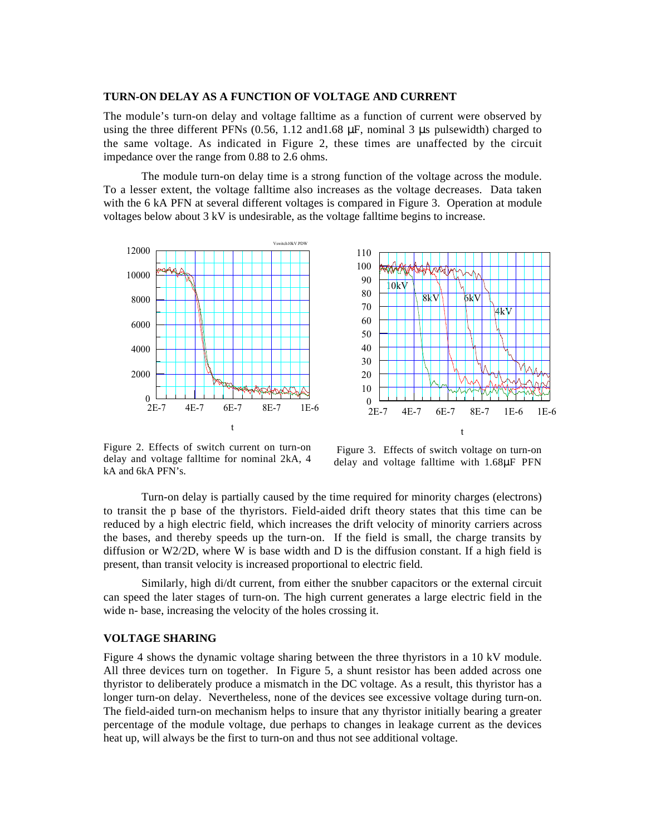#### **TURN-ON DELAY AS A FUNCTION OF VOLTAGE AND CURRENT**

The module's turn-on delay and voltage falltime as a function of current were observed by using the three different PFNs (0.56, 1.12 and 1.68  $\mu$ F, nominal 3  $\mu$ s pulsewidth) charged to the same voltage. As indicated in Figure 2, these times are unaffected by the circuit impedance over the range from 0.88 to 2.6 ohms.

The module turn-on delay time is a strong function of the voltage across the module. To a lesser extent, the voltage falltime also increases as the voltage decreases. Data taken with the 6 kA PFN at several different voltages is compared in Figure 3. Operation at module voltages below about 3 kV is undesirable, as the voltage falltime begins to increase.





Figure 2. Effects of switch current on turn-on delay and voltage falltime for nominal 2kA, 4 kA and 6kA PFN's.

Figure 3. Effects of switch voltage on turn-on delay and voltage falltime with 1.68µF PFN

Turn-on delay is partially caused by the time required for minority charges (electrons) to transit the p base of the thyristors. Field-aided drift theory states that this time can be reduced by a high electric field, which increases the drift velocity of minority carriers across the bases, and thereby speeds up the turn-on. If the field is small, the charge transits by diffusion or W2/2D, where W is base width and D is the diffusion constant. If a high field is present, than transit velocity is increased proportional to electric field.

Similarly, high di/dt current, from either the snubber capacitors or the external circuit can speed the later stages of turn-on. The high current generates a large electric field in the wide n- base, increasing the velocity of the holes crossing it.

## **VOLTAGE SHARING**

Figure 4 shows the dynamic voltage sharing between the three thyristors in a 10 kV module. All three devices turn on together. In Figure 5, a shunt resistor has been added across one thyristor to deliberately produce a mismatch in the DC voltage. As a result, this thyristor has a longer turn-on delay. Nevertheless, none of the devices see excessive voltage during turn-on. The field-aided turn-on mechanism helps to insure that any thyristor initially bearing a greater percentage of the module voltage, due perhaps to changes in leakage current as the devices heat up, will always be the first to turn-on and thus not see additional voltage.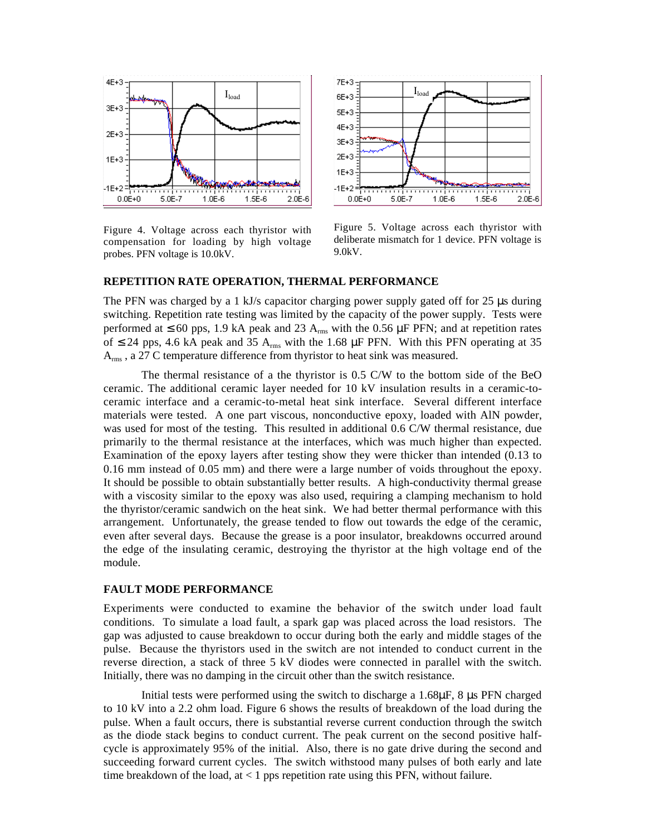

Figure 4. Voltage across each thyristor with compensation for loading by high voltage probes. PFN voltage is 10.0kV.



Figure 5. Voltage across each thyristor with deliberate mismatch for 1 device. PFN voltage is 9.0kV.

### **REPETITION RATE OPERATION, THERMAL PERFORMANCE**

The PFN was charged by a 1 kJ/s capacitor charging power supply gated off for 25 µs during switching. Repetition rate testing was limited by the capacity of the power supply. Tests were performed at  $\leq 60$  pps, 1.9 kA peak and 23 A<sub>rms</sub> with the 0.56  $\mu$ F PFN; and at repetition rates of ≤ 24 pps, 4.6 kA peak and 35 A<sub>rms</sub> with the 1.68 µF PFN. With this PFN operating at 35 A<sub>rms</sub>, a 27 C temperature difference from thyristor to heat sink was measured.

The thermal resistance of a the thyristor is 0.5 C/W to the bottom side of the BeO ceramic. The additional ceramic layer needed for 10 kV insulation results in a ceramic-toceramic interface and a ceramic-to-metal heat sink interface. Several different interface materials were tested. A one part viscous, nonconductive epoxy, loaded with AlN powder, was used for most of the testing. This resulted in additional 0.6 C/W thermal resistance, due primarily to the thermal resistance at the interfaces, which was much higher than expected. Examination of the epoxy layers after testing show they were thicker than intended (0.13 to 0.16 mm instead of 0.05 mm) and there were a large number of voids throughout the epoxy. It should be possible to obtain substantially better results. A high-conductivity thermal grease with a viscosity similar to the epoxy was also used, requiring a clamping mechanism to hold the thyristor/ceramic sandwich on the heat sink. We had better thermal performance with this arrangement. Unfortunately, the grease tended to flow out towards the edge of the ceramic, even after several days. Because the grease is a poor insulator, breakdowns occurred around the edge of the insulating ceramic, destroying the thyristor at the high voltage end of the module.

### **FAULT MODE PERFORMANCE**

Experiments were conducted to examine the behavior of the switch under load fault conditions. To simulate a load fault, a spark gap was placed across the load resistors. The gap was adjusted to cause breakdown to occur during both the early and middle stages of the pulse. Because the thyristors used in the switch are not intended to conduct current in the reverse direction, a stack of three 5 kV diodes were connected in parallel with the switch. Initially, there was no damping in the circuit other than the switch resistance.

Initial tests were performed using the switch to discharge a 1.68µF, 8 µs PFN charged to 10 kV into a 2.2 ohm load. Figure 6 shows the results of breakdown of the load during the pulse. When a fault occurs, there is substantial reverse current conduction through the switch as the diode stack begins to conduct current. The peak current on the second positive halfcycle is approximately 95% of the initial. Also, there is no gate drive during the second and succeeding forward current cycles. The switch withstood many pulses of both early and late time breakdown of the load, at  $< 1$  pps repetition rate using this PFN, without failure.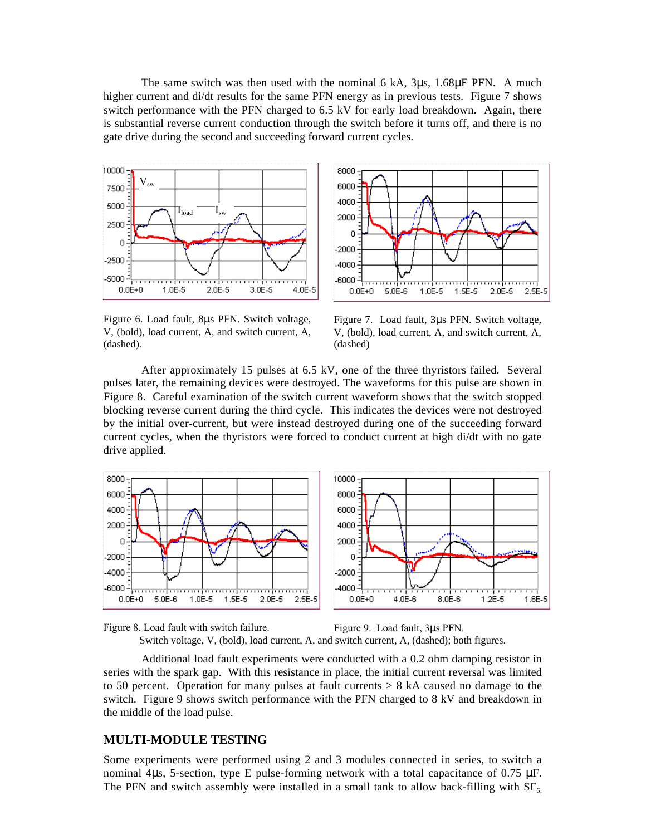The same switch was then used with the nominal 6 kA, 3µs, 1.68µF PFN. A much higher current and di/dt results for the same PFN energy as in previous tests. Figure 7 shows switch performance with the PFN charged to 6.5 kV for early load breakdown. Again, there is substantial reverse current conduction through the switch before it turns off, and there is no gate drive during the second and succeeding forward current cycles.





Figure 6. Load fault, 8µs PFN. Switch voltage, V, (bold), load current, A, and switch current, A, (dashed).

Figure 7. Load fault, 3µs PFN. Switch voltage, V, (bold), load current, A, and switch current, A, (dashed)

After approximately 15 pulses at 6.5 kV, one of the three thyristors failed. Several pulses later, the remaining devices were destroyed. The waveforms for this pulse are shown in Figure 8. Careful examination of the switch current waveform shows that the switch stopped blocking reverse current during the third cycle. This indicates the devices were not destroyed by the initial over-current, but were instead destroyed during one of the succeeding forward current cycles, when the thyristors were forced to conduct current at high di/dt with no gate drive applied.





Additional load fault experiments were conducted with a 0.2 ohm damping resistor in series with the spark gap. With this resistance in place, the initial current reversal was limited to 50 percent. Operation for many pulses at fault currents  $> 8$  kA caused no damage to the switch. Figure 9 shows switch performance with the PFN charged to 8 kV and breakdown in the middle of the load pulse.

# **MULTI-MODULE TESTING**

Some experiments were performed using 2 and 3 modules connected in series, to switch a nominal 4 $\mu$ s, 5-section, type E pulse-forming network with a total capacitance of 0.75  $\mu$ F. The PFN and switch assembly were installed in a small tank to allow back-filling with  $SF<sub>6</sub>$ ,